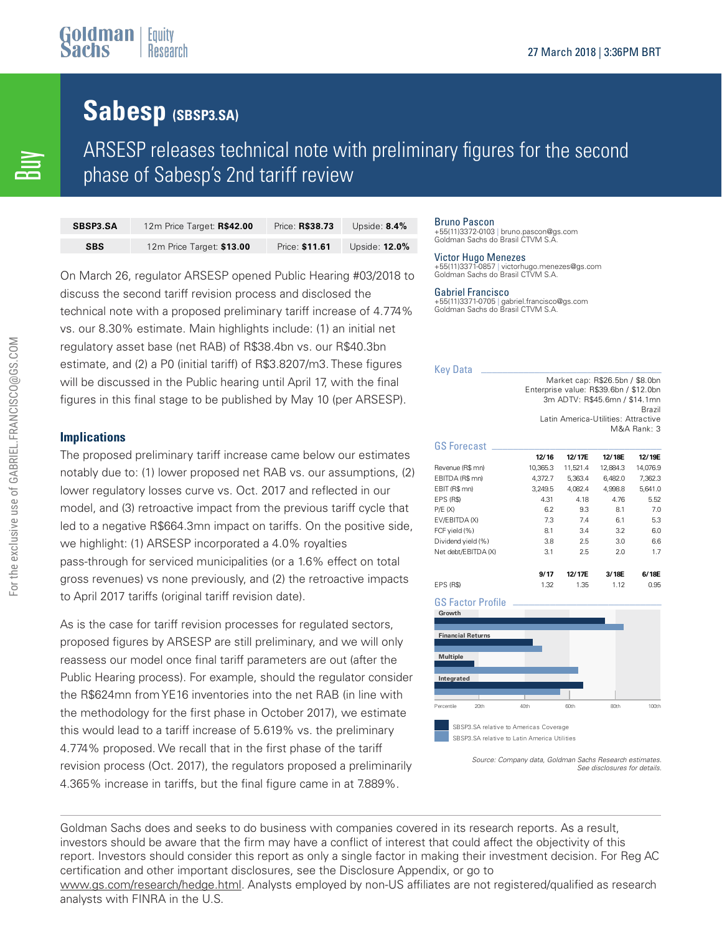# **Sabesp (SBSP3.SA)**

 $\Box$  $\Box$  $\overline{\phantom{0}}$  $\,$  ARSESP releases technical note with preliminary figures for the second phase of Sabesp's 2nd tariff review

| SBSP3.SA   | 12m Price Target: R\$42.00 | Price: <b>R\$38.73</b> | Upside: $8.4\%$      |
|------------|----------------------------|------------------------|----------------------|
| <b>SBS</b> | 12m Price Target: \$13.00  | Price: \$11.61         | Upside: <b>12.0%</b> |

On March 26, regulator ARSESP opened Public Hearing #03/2018 to discuss the second tariff revision process and disclosed the technical note with a proposed preliminary tariff increase of 4.774% vs. our 8.30% estimate. Main highlights include: (1) an initial net regulatory asset base (net RAB) of R\$38.4bn vs. our R\$40.3bn estimate, and (2) a P0 (initial tariff) of R\$3.8207/m3. These figures will be discussed in the Public hearing until April 17, with the final figures in this final stage to be published by May 10 (per ARSESP).

# **Implications**

The proposed preliminary tariff increase came below our estimates notably due to: (1) lower proposed net RAB vs. our assumptions, (2) lower regulatory losses curve vs. Oct. 2017 and reflected in our model, and (3) retroactive impact from the previous tariff cycle that led to a negative R\$664.3mn impact on tariffs. On the positive side, we highlight: (1) ARSESP incorporated a 4.0% royalties pass-through for serviced municipalities (or a 1.6% effect on total gross revenues) vs none previously, and (2) the retroactive impacts to April 2017 tariffs (original tariff revision date).

As is the case for tariff revision processes for regulated sectors, proposed figures by ARSESP are still preliminary, and we will only reassess our model once final tariff parameters are out (after the Public Hearing process). For example, should the regulator consider the R\$624mn from YE16 inventories into the net RAB (in line with the methodology for the first phase in October 2017), we estimate this would lead to a tariff increase of 5.619% vs. the preliminary 4.774% proposed. We recall that in the first phase of the tariff revision process (Oct. 2017), the regulators proposed a preliminarily 4.365% increase in tariffs, but the final figure came in at 7.889%.

#### Bruno Pascon

+55(11)3372-0103 | [bruno.pascon@gs.com](mailto:bruno.pascon@gs.com?subject=ARSESP%20releases%20technical%20note%20with%20preliminary%20figures%20for%20the%20second%20phase%20of%20Sabesp%27s%202nd%20tariff%20review) Goldman Sachs do Brasil CTVM S.A.

#### Victor Hugo Menezes

+55(11)3371-0857 | [victorhugo.menezes@gs.com](mailto:victorhugo.menezes@gs.com?subject=ARSESP%20releases%20technical%20note%20with%20preliminary%20figures%20for%20the%20second%20phase%20of%20Sabesp%27s%202nd%20tariff%20review) Goldman Sachs do Brasil CTVM S.A.

#### Gabriel Francisco

+55(11)3371-0705 | [gabriel.francisco@gs.com](mailto:gabriel.francisco@gs.com?subject=ARSESP%20releases%20technical%20note%20with%20preliminary%20figures%20for%20the%20second%20phase%20of%20Sabesp%27s%202nd%20tariff%20review) Goldman Sachs do Brasil CTVM S.A.

#### Key Data \_\_\_\_\_\_\_\_\_\_\_\_\_\_\_\_\_\_\_\_\_\_\_\_\_\_\_\_\_\_\_\_\_\_

Market cap: R\$26.5bn / \$8.0bn Enterprise value: R\$39.6bn / \$12.0bn 3m ADTV: R\$45.6mn / \$14.1mn **Brazil** Latin America-Utilities: Attractive M&A Rank: 3

|                     | 12/16    | 12/17F   | 12/18E   | 12/19E   |
|---------------------|----------|----------|----------|----------|
| Revenue (R\$ mn)    | 10.365.3 | 11.521.4 | 12.884.3 | 14.076.9 |
| EBITDA (R\$ mn)     | 4.372.7  | 5.363.4  | 6.482.0  | 7.362.3  |
| EBIT (R\$ mn)       | 3.249.5  | 4.082.4  | 4.998.8  | 5.641.0  |
| EPS (R\$)           | 4.31     | 4.18     | 4.76     | 5.52     |
| P/E(X)              | 6.2      | 93       | 8.1      | 7.0      |
| EV/EBITDA (X)       | 7.3      | 7.4      | 6.1      | 5.3      |
| FCF yield (%)       | 8.1      | 3.4      | 3.2      | 6.0      |
| Dividend yield (%)  | 3.8      | 2.5      | 3.0      | 6.6      |
| Net debt/EBITDA (X) | 3.1      | 2.5      | 2.0      | 1.7      |







SBSP3.SA relative to Americas Coverage SBSP3.SA relative to Latin America Utilities

> *Source: Company data, Goldman Sachs Research estimates. See disclosures for details.*

Goldman Sachs does and seeks to do business with companies covered in its research reports. As a result, investors should be aware that the firm may have a conflict of interest that could affect the objectivity of this report. Investors should consider this report as only a single factor in making their investment decision. For Reg AC certification and other important disclosures, see the Disclosure Appendix, or go to

[www.gs.com/research/hedge.html.](http://www.gs.com/research/hedge.html) Analysts employed by non-US affiliates are not registered/qualified as research analysts with FINRA in the U.S.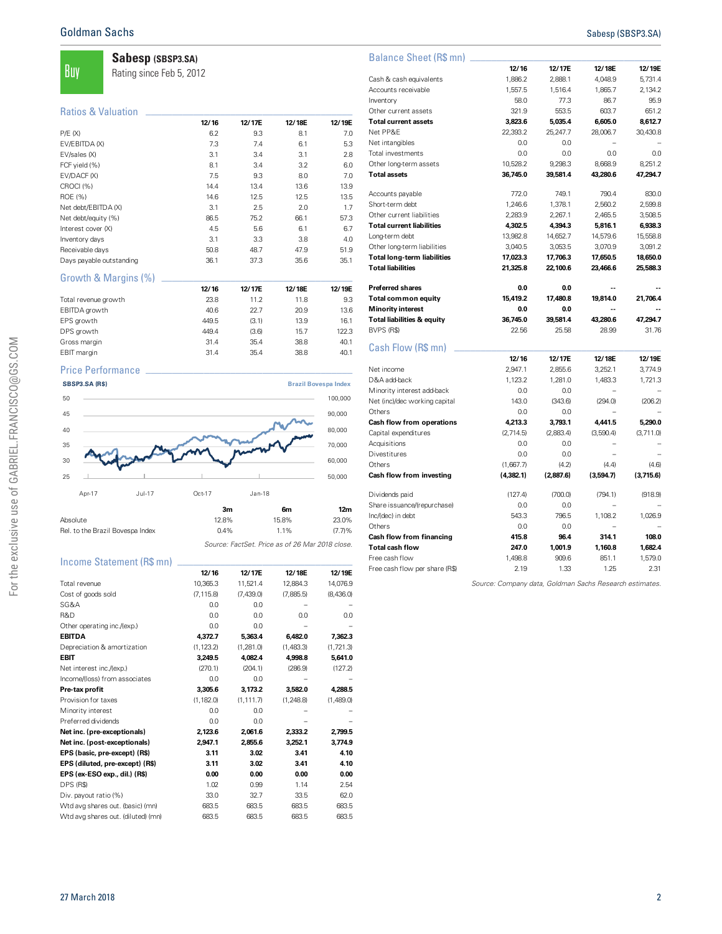# **Goldman Sachs**



# Sabesp (SBSP3.SA)

Rating since Feb 5, 2012

#### Ratios & Valuation

|                          | 12/16 | 12/17E | 12/18E | 12/19E |
|--------------------------|-------|--------|--------|--------|
| P/E(X)                   | 6.2   | 9.3    | 8.1    | 7.0    |
| EV/EBITDA (X)            | 7.3   | 7.4    | 6.1    | 5.3    |
| EV/sales (X)             | 3.1   | 3.4    | 3.1    | 2.8    |
| FCF yield (%)            | 8.1   | 3.4    | 3.2    | 6.0    |
| EV/DACF(X)               | 7.5   | 9.3    | 8.0    | 7.0    |
| CROCI (%)                | 14.4  | 13.4   | 13.6   | 13.9   |
| ROE (%)                  | 14.6  | 12.5   | 12.5   | 13.5   |
| Net debt/EBITDA (X)      | 3.1   | 2.5    | 2.0    | 1.7    |
| Net debt/equity (%)      | 86.5  | 75.2   | 66.1   | 57.3   |
| Interest cover (X)       | 4.5   | 5.6    | 6.1    | 6.7    |
| Inventory days           | 3.1   | 3.3    | 3.8    | 4.0    |
| Receivable days          | 50.8  | 48.7   | 47.9   | 51.9   |
| Days payable outstanding | 36.1  | 37.3   | 35.6   | 35.1   |
| Growth & Margins (%)     |       |        |        |        |
|                          | 12/16 | 12/17E | 12/18E | 12/19E |
| Total revenue growth     | 23.8  | 11.2   | 11.8   | 9.3    |
| EBITDA growth            | 40.6  | 22.7   | 20.9   | 13.6   |
| EPS growth               | 449.5 | (3.1)  | 13.9   | 16.1   |
| DPS growth               | 449.4 | (3.6)  | 15.7   | 122.3  |
| Gross margin             | 31.4  | 35.4   | 38.8   | 40.1   |
| EBIT margin              | 31.4  | 35.4   | 38.8   | 40.1   |

# Price Performance \_



Source: FactSet. Price as of 26 Mar 2018 close.

### Income Statement (R\$ mn) \_

|                                    | 12/16      | 12/17E     | 12/18E    | 12/19E    |
|------------------------------------|------------|------------|-----------|-----------|
| Total revenue                      | 10.365.3   | 11.521.4   | 12.884.3  | 14,076.9  |
| Cost of goods sold                 | (7, 115.8) | (7,439.0)  | (7,885.5) | (8,436.0) |
| SG&A                               | 0.0        | 0.0        |           |           |
| R&D                                | 0.0        | 0.0        | 0.0       | 0.0       |
| Other operating inc./(exp.)        | 0.0        | 0.0        |           |           |
| <b>EBITDA</b>                      | 4,372.7    | 5,363.4    | 6,482.0   | 7,362.3   |
| Depreciation & amortization        | (1, 123.2) | (1,281.0)  | (1,483.3) | (1,721.3) |
| <b>EBIT</b>                        | 3,249.5    | 4,082.4    | 4,998.8   | 5,641.0   |
| Net interest inc./(exp.)           | (270.1)    | (204.1)    | (286.9)   | (127.2)   |
| Income/(loss) from associates      | 0.0        | 0.0        |           |           |
| Pre-tax profit                     | 3.305.6    | 3,173.2    | 3.582.0   | 4.288.5   |
| Provision for taxes                | (1, 182.0) | (1, 111.7) | (1,248.8) | (1,489.0) |
| Minority interest                  | 0.0        | 0.0        |           |           |
| Preferred dividends                | 0.0        | 0.0        |           |           |
| Net inc. (pre-exceptionals)        | 2.123.6    | 2.061.6    | 2,333.2   | 2,799.5   |
| Net inc. (post-exceptionals)       | 2.947.1    | 2,855.6    | 3,252.1   | 3,774.9   |
| EPS (basic, pre-except) (R\$)      | 3.11       | 3.02       | 3.41      | 4.10      |
| EPS (diluted, pre-except) (R\$)    | 3.11       | 3.02       | 3.41      | 4.10      |
| EPS (ex-ESO exp., dil.) (R\$)      | 0.00       | 0.00       | 0.00      | 0.00      |
| DPS (R\$)                          | 1.02       | 0.99       | 1.14      | 2.54      |
| Div. payout ratio (%)              | 33.0       | 32.7       | 33.5      | 62.0      |
| Wtd avg shares out. (basic) (mn)   | 683.5      | 683.5      | 683.5     | 683.5     |
| Wtd avg shares out. (diluted) (mn) | 683.5      | 683.5      | 683.5     | 683.5     |
|                                    |            |            |           |           |

| <b>Balance Sheet (R\$ mn)</b>         |            |           |                |           |
|---------------------------------------|------------|-----------|----------------|-----------|
|                                       | 12/16      | 12/17E    | 12/18E         | 12/19E    |
| Cash & cash equivalents               | 1,886.2    | 2,888.1   | 4,048.9        | 5,731.4   |
| Accounts receivable                   | 1,557.5    | 1,516.4   | 1,865.7        | 2,134.2   |
| Inventory                             | 58.0       | 77.3      | 86.7           | 95.9      |
| Other current assets                  | 321.9      | 553.5     | 603.7          | 651.2     |
| <b>Total current assets</b>           | 3,823.6    | 5,035.4   | 6,605.0        | 8,612.7   |
| Net PP&E                              | 22,393.2   | 25,247.7  | 28,006.7       | 30,430.8  |
| Net intangibles                       | 0.0        | 0.0       |                |           |
| Total investments                     | 0.0        | 0.0       | 0.0            | 0.0       |
| Other long-term assets                | 10,528.2   | 9,298.3   | 8,668.9        | 8,251.2   |
| <b>Total assets</b>                   | 36,745.0   | 39,581.4  | 43,280.6       | 47,294.7  |
| Accounts payable                      | 772.0      | 749.1     | 790.4          | 830.0     |
| Short-term debt                       | 1,246.6    | 1,378.1   | 2,560.2        | 2,599.8   |
| Other current liabilities             | 2,283.9    | 2,267.1   | 2,465.5        | 3,508.5   |
| <b>Total current liabilities</b>      | 4,302.5    | 4,394.3   | 5,816.1        | 6,938.3   |
| Long-term debt                        | 13,982.8   | 14,652.7  | 14,579.6       | 15,558.8  |
| Other long-term liabilities           | 3,040.5    | 3,053.5   | 3,070.9        | 3,091.2   |
| <b>Total long-term liabilities</b>    | 17,023.3   | 17,706.3  | 17,650.5       | 18,650.0  |
| <b>Total liabilities</b>              | 21,325.8   | 22,100.6  | 23,466.6       | 25,588.3  |
| <b>Preferred shares</b>               | 0.0        | 0.0       | $\overline{a}$ |           |
| <b>Total common equity</b>            | 15.419.2   | 17,480.8  | 19.814.0       | 21.706.4  |
| <b>Minority interest</b>              | 0.0        | 0.0       | ٠.             |           |
| <b>Total liabilities &amp; equity</b> | 36,745.0   | 39,581.4  | 43,280.6       | 47,294.7  |
| BVPS (R\$)                            | 22.56      | 25.58     | 28.99          | 31.76     |
| Cash Flow (R\$ mn)                    |            |           |                |           |
|                                       | 12/16      | 12/17E    | 12/18E         | 12/19E    |
| Net income                            | 2,947.1    | 2,855.6   | 3,252.1        | 3,774.9   |
| D&A add-back                          | 1,123.2    | 1,281.0   | 1.483.3        | 1,721.3   |
| Minority interest add-back            | 0.0        | 0.0       |                |           |
| Net (inc)/dec working capital         | 143.0      | (343.6)   | (294.0)        | (206.2)   |
| Others                                | 0.0        | 0.0       |                |           |
| <b>Cash flow from operations</b>      | 4,213.3    | 3,793.1   | 4,441.5        | 5,290.0   |
| Capital expenditures                  | (2,714.5)  | (2,883.4) | (3.590.4)      | (3,711.0) |
| Acquisitions                          | 0.0        | 0.0       |                |           |
| Divestitures                          | 0.0        | 0.0       |                |           |
| Others                                | (1,667.7)  | (4.2)     | (4.4)          | (4.6)     |
| Cash flow from investing              | (4, 382.1) | (2,887.6) | (3,594.7)      | (3,715.6) |
| Dividends paid                        | (127.4)    | (700.0)   | (794.1)        | (918.9)   |
| Share issuance/(repurchase)           | 0.0        | 0.0       |                |           |
| Inc/(dec) in debt                     | 543.3      | 796.5     | 1,108.2        | 1,026.9   |
| Others                                | 0.0        | 0.0       |                |           |
| Cash flow from financing              | 415.8      | 96.4      | 314.1          | 108.0     |
| <b>Total cash flow</b>                | 247.0      | 1,001.9   | 1,160.8        | 1,682.4   |
| Free cash flow                        | 1,498.8    | 909.6     | 851.1          | 1,579.0   |
| Free cash flow per share (R\$)        | 2.19       | 1.33      | 1.25           | 2.31      |

Source: Company data, Goldman Sachs Research estimates.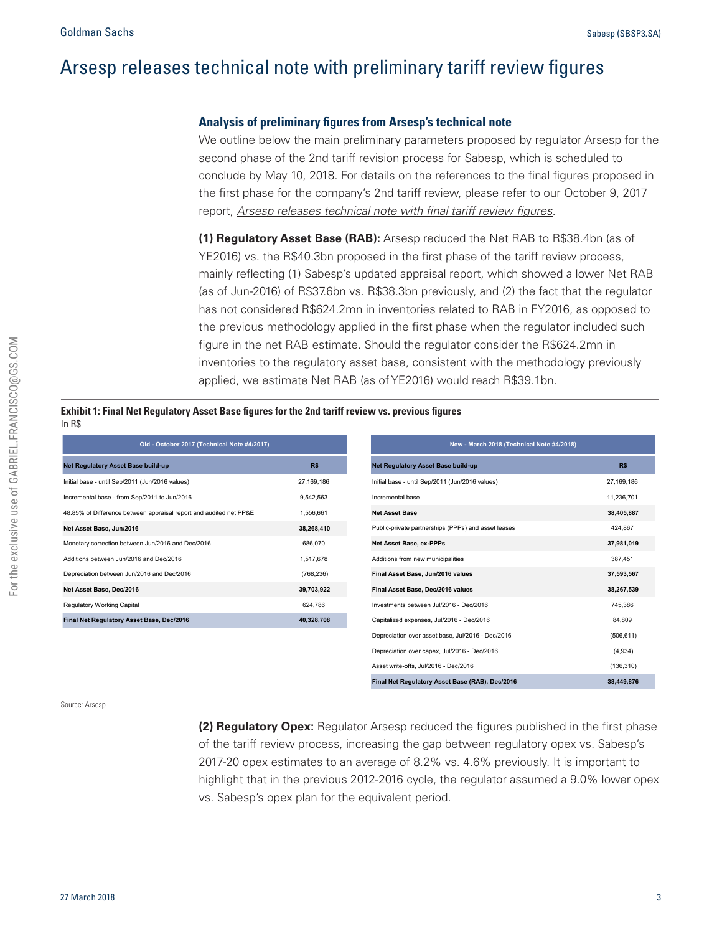# Arsesp releases technical note with preliminary tariff review figures

### **Analysis of preliminary figures from Arsesp's technical note**

We outline below the main preliminary parameters proposed by regulator Arsesp for the second phase of the 2nd tariff revision process for Sabesp, which is scheduled to conclude by May 10, 2018. For details on the references to the final figures proposed in the first phase for the company's 2nd tariff review, please refer to our October 9, 2017 report, *Arsesp releases [technical](https://research.gs.com/content/research/en/reports/2017/10/09/209e3301-a662-4af2-a0d3-23ee4b4427f1.html) note with final tariff review figures*.

**(1) Regulatory Asset Base (RAB):** Arsesp reduced the Net RAB to R\$38.4bn (as of YE2016) vs. the R\$40.3bn proposed in the first phase of the tariff review process, mainly reflecting (1) Sabesp's updated appraisal report, which showed a lower Net RAB (as of Jun-2016) of R\$37.6bn vs. R\$38.3bn previously, and (2) the fact that the regulator has not considered R\$624.2mn in inventories related to RAB in FY2016, as opposed to the previous methodology applied in the first phase when the regulator included such figure in the net RAB estimate. Should the regulator consider the R\$624.2mn in inventories to the regulatory asset base, consistent with the methodology previously applied, we estimate Net RAB (as of YE2016) would reach R\$39.1bn.

#### **Exhibit 1: Final Net Regulatory Asset Base figures for the 2nd tariff review vs. previous figures** In R\$

| Old - October 2017 (Technical Note #4/2017)                        |            | New - March 2018 (Technical Note #4/2018)           |
|--------------------------------------------------------------------|------------|-----------------------------------------------------|
| <b>Net Regulatory Asset Base build-up</b>                          | R\$        | <b>Net Regulatory Asset Base build-up</b>           |
| Initial base - until Sep/2011 (Jun/2016 values)                    | 27,169,186 | Initial base - until Sep/2011 (Jun/2016 values)     |
| Incremental base - from Sep/2011 to Jun/2016                       | 9,542,563  | Incremental base                                    |
| 48.85% of Difference between appraisal report and audited net PP&E | 1,556,661  | <b>Net Asset Base</b>                               |
| Net Asset Base, Jun/2016                                           | 38,268,410 | Public-private partnerships (PPPs) and asset leases |
| Monetary correction between Jun/2016 and Dec/2016                  | 686,070    | Net Asset Base, ex-PPPs                             |
| Additions between Jun/2016 and Dec/2016                            | 1,517,678  | Additions from new municipalities                   |
| Depreciation between Jun/2016 and Dec/2016                         | (768, 236) | Final Asset Base, Jun/2016 values                   |
| Net Asset Base, Dec/2016                                           | 39,703,922 | Final Asset Base, Dec/2016 values                   |
| Regulatory Working Capital                                         | 624,786    | Investments between Jul/2016 - Dec/2016             |
| Final Net Regulatory Asset Base, Dec/2016                          | 40,328,708 | Capitalized expenses, Jul/2016 - Dec/2016           |
|                                                                    |            | Depreciation over asset base, Jul/2016 - Dec/2016   |
|                                                                    |            | Depreciation over capex, Jul/2016 - Dec/2016        |
|                                                                    |            | Asset write-offs, Jul/2016 - Dec/2016               |
|                                                                    |            | Final Net Regulatory Asset Base (RAB), Dec/2016     |

#### Source: Arsesp

**(2) Regulatory Opex:** Regulator Arsesp reduced the figures published in the first phase of the tariff review process, increasing the gap between regulatory opex vs. Sabesp's 2017-20 opex estimates to an average of 8.2% vs. 4.6% previously. It is important to highlight that in the previous 2012-2016 cycle, the regulator assumed a 9.0% lower opex vs. Sabesp's opex plan for the equivalent period.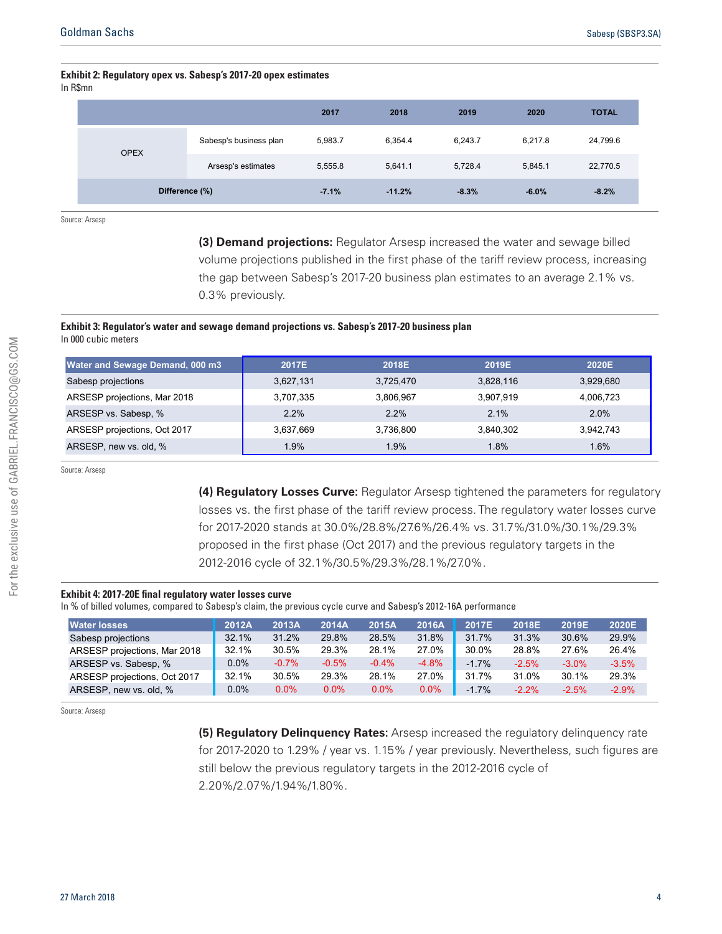#### **Exhibit 2: Regulatory opex vs. Sabesp's 2017-20 opex estimates**

| In R\$mn |  |
|----------|--|
|----------|--|

|                |                        | 2017    | 2018     | 2019    | 2020    | <b>TOTAL</b> |
|----------------|------------------------|---------|----------|---------|---------|--------------|
| <b>OPEX</b>    | Sabesp's business plan | 5,983.7 | 6,354.4  | 6,243.7 | 6.217.8 | 24,799.6     |
|                | Arsesp's estimates     | 5,555.8 | 5,641.1  | 5,728.4 | 5,845.1 | 22,770.5     |
| Difference (%) |                        | $-7.1%$ | $-11.2%$ | $-8.3%$ | $-6.0%$ | $-8.2%$      |

Source: Arsesp

**(3) Demand projections:** Regulator Arsesp increased the water and sewage billed volume projections published in the first phase of the tariff review process, increasing the gap between Sabesp's 2017-20 business plan estimates to an average 2.1% vs. 0.3% previously.

#### **Exhibit 3: Regulator's water and sewage demand projections vs. Sabesp's 2017-20 business plan** In 000 cubic meters

| Water and Sewage Demand, 000 m3 | 2017E     | 2018E     | 2019E     | 2020E     |
|---------------------------------|-----------|-----------|-----------|-----------|
| Sabesp projections              | 3,627,131 | 3,725,470 | 3,828,116 | 3,929,680 |
| ARSESP projections, Mar 2018    | 3.707.335 | 3.806.967 | 3.907.919 | 4,006,723 |
| ARSESP vs. Sabesp, %            | 2.2%      | 2.2%      | $2.1\%$   | $2.0\%$   |
| ARSESP projections, Oct 2017    | 3.637.669 | 3,736,800 | 3.840.302 | 3.942.743 |
| ARSESP, new vs. old, %          | 1.9%      | 1.9%      | 1.8%      | $1.6\%$   |

Source: Arsesp

**(4) Regulatory Losses Curve:** Regulator Arsesp tightened the parameters for regulatory losses vs. the first phase of the tariff review process. The regulatory water losses curve for 2017-2020 stands at 30.0%/28.8%/27.6%/26.4% vs. 31.7%/31.0%/30.1%/29.3% proposed in the first phase (Oct 2017) and the previous regulatory targets in the 2012-2016 cycle of 32.1%/30.5%/29.3%/28.1%/27.0%.

#### **Exhibit 4: 2017-20E final regulatory water losses curve**

In % of billed volumes, compared to Sabesp's claim, the previous cycle curve and Sabesp's 2012-16A performance

| <b>Water losses</b>          | 2012A | 2013A   | 2014A   | 2015A   | 2016A   | 2017E   | 2018E   | 2019E   | 2020E   |
|------------------------------|-------|---------|---------|---------|---------|---------|---------|---------|---------|
| Sabesp projections           | 32.1% | 31.2%   | 29.8%   | 28.5%   | 31.8%   | 31.7%   | 31.3%   | 30.6%   | 29.9%   |
| ARSESP projections, Mar 2018 | 32.1% | 30.5%   | 29.3%   | 28.1%   | 27.0%   | 30.0%   | 28.8%   | 27.6%   | 26.4%   |
| ARSESP vs. Sabesp, %         | 0.0%  | $-0.7%$ | $-0.5%$ | $-0.4%$ | $-4.8%$ | $-1.7%$ | $-2.5%$ | $-3.0%$ | $-3.5%$ |
| ARSESP projections, Oct 2017 | 32.1% | 30.5%   | 29.3%   | 28.1%   | 27.0%   | 31.7%   | 31.0%   | 30.1%   | 29.3%   |
| ARSESP, new vs. old, %       | 0.0%  | 0.0%    | 0.0%    | $0.0\%$ | 0.0%    | $-1.7%$ | $-2.2%$ | $-2.5%$ | $-2.9%$ |

Source: Arsesp

**(5) Regulatory Delinquency Rates:** Arsesp increased the regulatory delinquency rate for 2017-2020 to 1.29% / year vs. 1.15% / year previously. Nevertheless, such figures are still below the previous regulatory targets in the 2012-2016 cycle of 2.20%/2.07%/1.94%/1.80%.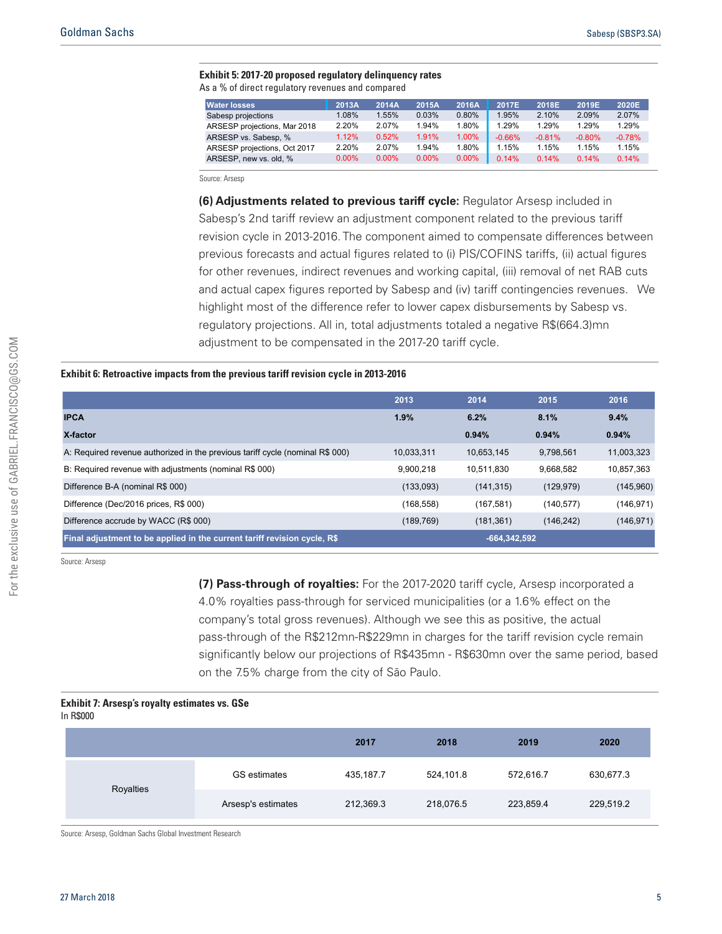#### **Exhibit 5: 2017-20 proposed regulatory delinquency rates**

As a % of direct regulatory revenues and compared

| <b>Water losses</b>          | 2013A    | 2014A    | 2015A    | 2016A | 2017E    | 2018E    | 2019E    | 2020E    |
|------------------------------|----------|----------|----------|-------|----------|----------|----------|----------|
| Sabesp projections           | 1.08%    | 1.55%    | 0.03%    | 0.80% | 1.95%    | 2.10%    | 2.09%    | 2.07%    |
| ARSESP projections, Mar 2018 | 2.20%    | 2.07%    | 1.94%    | 1.80% | 1.29%    | 1.29%    | 1.29%    | 1.29%    |
| ARSESP vs. Sabesp, %         | 1.12%    | 0.52%    | 1.91%    | 1.00% | $-0.66%$ | $-0.81%$ | $-0.80%$ | $-0.78%$ |
| ARSESP projections, Oct 2017 | 2.20%    | 2.07%    | 1.94%    | 1.80% | 1.15%    | 1.15%    | 1.15%    | 1.15%    |
| ARSESP, new vs. old, %       | $0.00\%$ | $0.00\%$ | $0.00\%$ | 0.00% | 0.14%    | 0.14%    | 0.14%    | 0.14%    |

Source: Arsesp

**(6) Adjustments related to previous tariff cycle:** Regulator Arsesp included in Sabesp's 2nd tariff review an adjustment component related to the previous tariff revision cycle in 2013-2016. The component aimed to compensate differences between previous forecasts and actual figures related to (i) PIS/COFINS tariffs, (ii) actual figures for other revenues, indirect revenues and working capital, (iii) removal of net RAB cuts and actual capex figures reported by Sabesp and (iv) tariff contingencies revenues. We highlight most of the difference refer to lower capex disbursements by Sabesp vs. regulatory projections. All in, total adjustments totaled a negative R\$(664.3)mn adjustment to be compensated in the 2017-20 tariff cycle.

#### **Exhibit 6: Retroactive impacts from the previous tariff revision cycle in 2013-2016**

|                                                                               | 2013           | 2014       | 2015       | 2016       |
|-------------------------------------------------------------------------------|----------------|------------|------------|------------|
| <b>IPCA</b>                                                                   | 1.9%           | 6.2%       | 8.1%       | 9.4%       |
| X-factor                                                                      |                | 0.94%      | 0.94%      | 0.94%      |
| A: Required revenue authorized in the previous tariff cycle (nominal R\$ 000) | 10.033.311     | 10.653.145 | 9.798.561  | 11,003,323 |
| B: Required revenue with adjustments (nominal R\$ 000)                        | 9.900.218      | 10.511.830 | 9.668.582  | 10,857,363 |
| Difference B-A (nominal R\$ 000)                                              | (133,093)      | (141, 315) | (129, 979) | (145,960)  |
| Difference (Dec/2016 prices, R\$ 000)                                         | (168, 558)     | (167, 581) | (140, 577) | (146, 971) |
| Difference accrude by WACC (R\$ 000)                                          | (189, 769)     | (181, 361) | (146, 242) | (146, 971) |
| Final adjustment to be applied in the current tariff revision cycle, R\$      | $-664,342,592$ |            |            |            |

Source: Arsesp

**(7) Pass-through of royalties:** For the 2017-2020 tariff cycle, Arsesp incorporated a 4.0% royalties pass-through for serviced municipalities (or a 1.6% effect on the company's total gross revenues). Although we see this as positive, the actual pass-through of the R\$212mn-R\$229mn in charges for the tariff revision cycle remain significantly below our projections of R\$435mn - R\$630mn over the same period, based on the 7.5% charge from the city of São Paulo.

#### **Exhibit 7: Arsesp's royalty estimates vs. GSe** In R\$000

|           |                    | 2017      | 2018      | 2019      | 2020      |
|-----------|--------------------|-----------|-----------|-----------|-----------|
| Royalties | GS estimates       | 435,187.7 | 524,101.8 | 572,616.7 | 630,677.3 |
|           | Arsesp's estimates | 212,369.3 | 218,076.5 | 223,859.4 | 229,519.2 |

Source: Arsesp, Goldman Sachs Global Investment Research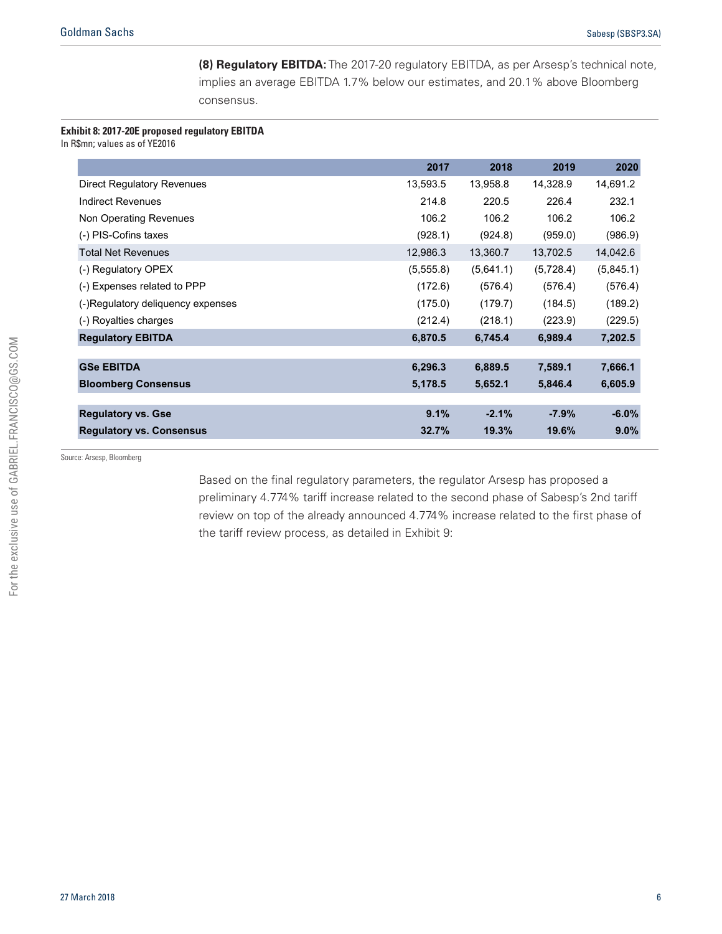**(8) Regulatory EBITDA:** The 2017-20 regulatory EBITDA, as per Arsesp's technical note, implies an average EBITDA 1.7% below our estimates, and 20.1% above Bloomberg consensus.

#### **Exhibit 8: 2017-20E proposed regulatory EBITDA**

In R\$mn; values as of YE2016

|                                   | 2017      | 2018      | 2019      | 2020      |
|-----------------------------------|-----------|-----------|-----------|-----------|
| Direct Regulatory Revenues        | 13,593.5  | 13,958.8  | 14,328.9  | 14,691.2  |
| Indirect Revenues                 | 214.8     | 220.5     | 226.4     | 232.1     |
| Non Operating Revenues            | 106.2     | 106.2     | 106.2     | 106.2     |
| (-) PIS-Cofins taxes              | (928.1)   | (924.8)   | (959.0)   | (986.9)   |
| <b>Total Net Revenues</b>         | 12,986.3  | 13,360.7  | 13,702.5  | 14,042.6  |
| (-) Regulatory OPEX               | (5,555.8) | (5,641.1) | (5,728.4) | (5,845.1) |
| (-) Expenses related to PPP       | (172.6)   | (576.4)   | (576.4)   | (576.4)   |
| (-)Regulatory deliquency expenses | (175.0)   | (179.7)   | (184.5)   | (189.2)   |
| (-) Royalties charges             | (212.4)   | (218.1)   | (223.9)   | (229.5)   |
| <b>Regulatory EBITDA</b>          | 6,870.5   | 6,745.4   | 6,989.4   | 7,202.5   |
|                                   |           |           |           |           |
| <b>GSe EBITDA</b>                 | 6,296.3   | 6,889.5   | 7,589.1   | 7,666.1   |
| <b>Bloomberg Consensus</b>        | 5,178.5   | 5,652.1   | 5,846.4   | 6,605.9   |
|                                   |           |           |           |           |
| <b>Regulatory vs. Gse</b>         | 9.1%      | $-2.1%$   | $-7.9%$   | $-6.0%$   |
| <b>Regulatory vs. Consensus</b>   | 32.7%     | 19.3%     | 19.6%     | $9.0\%$   |

Source: Arsesp, Bloomberg

Based on the final regulatory parameters, the regulator Arsesp has proposed a preliminary 4.774% tariff increase related to the second phase of Sabesp's 2nd tariff review on top of the already announced 4.774% increase related to the first phase of the tariff review process, as detailed in Exhibit 9: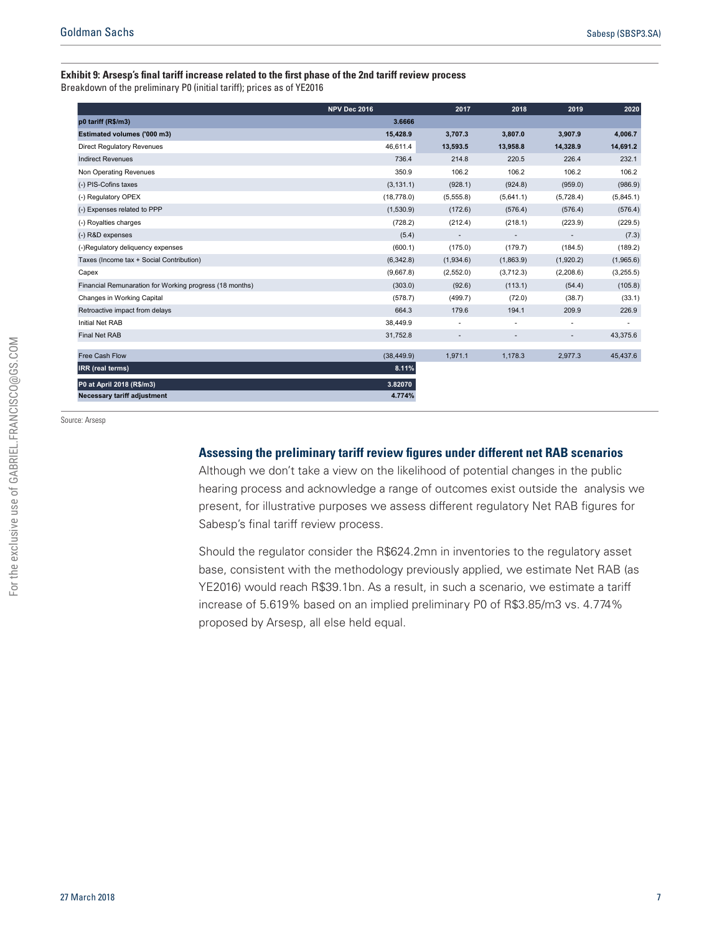#### **Exhibit 9: Arsesp's final tariff increase related to the first phase of the 2nd tariff review process**

Breakdown of the preliminary P0 (initial tariff); prices as of YE2016

|                                                         | <b>NPV Dec 2016</b> | 2017                     | 2018                     | 2019                         | 2020      |
|---------------------------------------------------------|---------------------|--------------------------|--------------------------|------------------------------|-----------|
| p0 tariff (R\$/m3)                                      | 3.6666              |                          |                          |                              |           |
| Estimated volumes ('000 m3)                             | 15,428.9            | 3,707.3                  | 3,807.0                  | 3,907.9                      | 4,006.7   |
| <b>Direct Regulatory Revenues</b>                       | 46,611.4            | 13,593.5                 | 13,958.8                 | 14,328.9                     | 14,691.2  |
| <b>Indirect Revenues</b>                                | 736.4               | 214.8                    | 220.5                    | 226.4                        | 232.1     |
| Non Operating Revenues                                  | 350.9               | 106.2                    | 106.2                    | 106.2                        | 106.2     |
| (-) PIS-Cofins taxes                                    | (3, 131.1)          | (928.1)                  | (924.8)                  | (959.0)                      | (986.9)   |
| (-) Regulatory OPEX                                     | (18, 778.0)         | (5,555.8)                | (5,641.1)                | (5,728.4)                    | (5,845.1) |
| (-) Expenses related to PPP                             | (1,530.9)           | (172.6)                  | (576.4)                  | (576.4)                      | (576.4)   |
| (-) Royalties charges                                   | (728.2)             | (212.4)                  | (218.1)                  | (223.9)                      | (229.5)   |
| (-) R&D expenses                                        | (5.4)               | $\overline{\phantom{a}}$ | $\overline{\phantom{a}}$ | $\overline{a}$               | (7.3)     |
| (-)Regulatory deliguency expenses                       | (600.1)             | (175.0)                  | (179.7)                  | (184.5)                      | (189.2)   |
| Taxes (Income tax + Social Contribution)                | (6,342.8)           | (1,934.6)                | (1,863.9)                | (1,920.2)                    | (1,965.6) |
| Capex                                                   | (9,667.8)           | (2,552.0)                | (3,712.3)                | (2,208.6)                    | (3,255.5) |
| Financial Remunaration for Working progress (18 months) | (303.0)             | (92.6)                   | (113.1)                  | (54.4)                       | (105.8)   |
| Changes in Working Capital                              | (578.7)             | (499.7)                  | (72.0)                   | (38.7)                       | (33.1)    |
| Retroactive impact from delays                          | 664.3               | 179.6                    | 194.1                    | 209.9                        | 226.9     |
| Initial Net RAB                                         | 38,449.9            | ٠                        |                          | ۰                            |           |
| <b>Final Net RAB</b>                                    | 31.752.8            | $\overline{\phantom{a}}$ | $\overline{\phantom{a}}$ | $\qquad \qquad \blacksquare$ | 43,375.6  |
| Free Cash Flow                                          | (38, 449.9)         | 1,971.1                  | 1,178.3                  | 2,977.3                      | 45,437.6  |
| IRR (real terms)                                        | 8.11%               |                          |                          |                              |           |
|                                                         |                     |                          |                          |                              |           |
| P0 at April 2018 (R\$/m3)                               | 3.82070             |                          |                          |                              |           |
| <b>Necessary tariff adjustment</b>                      | 4.774%              |                          |                          |                              |           |

Source: Arsesp

### **Assessing the preliminary tariff review figures under different net RAB scenarios**

Although we don't take a view on the likelihood of potential changes in the public hearing process and acknowledge a range of outcomes exist outside the analysis we present, for illustrative purposes we assess different regulatory Net RAB figures for Sabesp's final tariff review process.

Should the regulator consider the R\$624.2mn in inventories to the regulatory asset base, consistent with the methodology previously applied, we estimate Net RAB (as YE2016) would reach R\$39.1bn. As a result, in such a scenario, we estimate a tariff increase of 5.619% based on an implied preliminary P0 of R\$3.85/m3 vs. 4.774% proposed by Arsesp, all else held equal.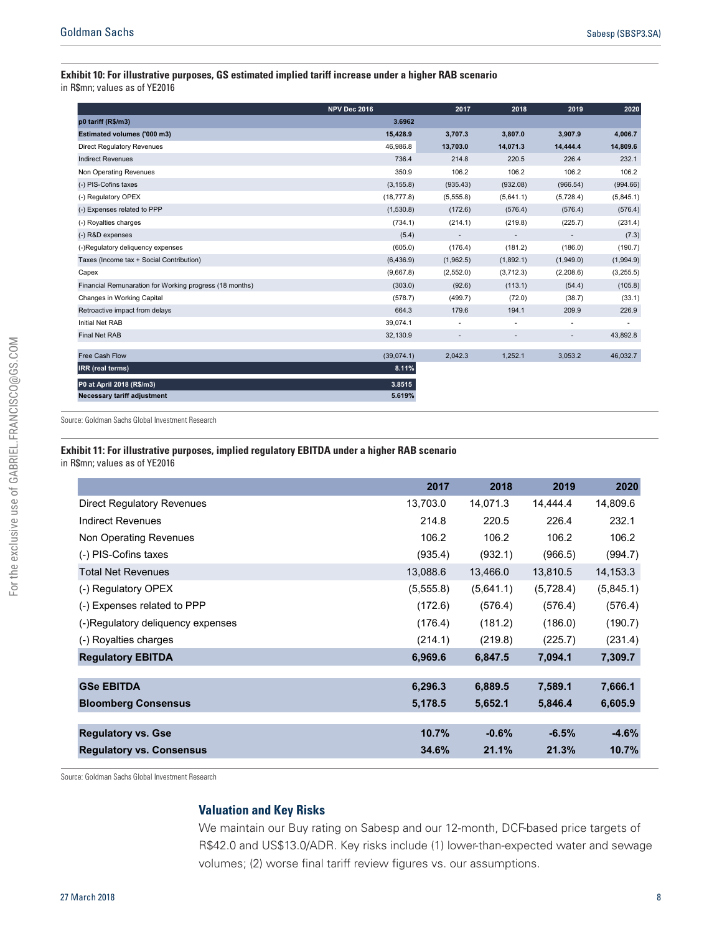#### **Exhibit 10: For illustrative purposes, GS estimated implied tariff increase under a higher RAB scenario**

in R\$mn; values as of YE2016

|                                                         | <b>NPV Dec 2016</b> | 2017                     | 2018                     | 2019                     | 2020      |
|---------------------------------------------------------|---------------------|--------------------------|--------------------------|--------------------------|-----------|
| p0 tariff (R\$/m3)                                      | 3.6962              |                          |                          |                          |           |
| Estimated volumes ('000 m3)                             | 15,428.9            | 3,707.3                  | 3,807.0                  | 3,907.9                  | 4,006.7   |
| <b>Direct Regulatory Revenues</b>                       | 46,986.8            | 13,703.0                 | 14,071.3                 | 14,444.4                 | 14,809.6  |
| <b>Indirect Revenues</b>                                | 736.4               | 214.8                    | 220.5                    | 226.4                    | 232.1     |
| Non Operating Revenues                                  | 350.9               | 106.2                    | 106.2                    | 106.2                    | 106.2     |
| (-) PIS-Cofins taxes                                    | (3, 155.8)          | (935.43)                 | (932.08)                 | (966.54)                 | (994.66)  |
| (-) Regulatory OPEX                                     | (18, 777.8)         | (5,555.8)                | (5,641.1)                | (5,728.4)                | (5,845.1) |
| (-) Expenses related to PPP                             | (1,530.8)           | (172.6)                  | (576.4)                  | (576.4)                  | (576.4)   |
| (-) Royalties charges                                   | (734.1)             | (214.1)                  | (219.8)                  | (225.7)                  | (231.4)   |
| (-) R&D expenses                                        | (5.4)               | $\overline{\phantom{a}}$ |                          | ÷,                       | (7.3)     |
| (-)Regulatory deliquency expenses                       | (605.0)             | (176.4)                  | (181.2)                  | (186.0)                  | (190.7)   |
| Taxes (Income tax + Social Contribution)                | (6,436.9)           | (1,962.5)                | (1,892.1)                | (1,949.0)                | (1,994.9) |
| Capex                                                   | (9,667.8)           | (2,552.0)                | (3,712.3)                | (2,208.6)                | (3,255.5) |
| Financial Remunaration for Working progress (18 months) | (303.0)             | (92.6)                   | (113.1)                  | (54.4)                   | (105.8)   |
| Changes in Working Capital                              | (578.7)             | (499.7)                  | (72.0)                   | (38.7)                   | (33.1)    |
| Retroactive impact from delays                          | 664.3               | 179.6                    | 194.1                    | 209.9                    | 226.9     |
| Initial Net RAB                                         | 39,074.1            | $\blacksquare$           |                          | ٠                        | ٠         |
| <b>Final Net RAB</b>                                    | 32,130.9            | $\overline{\phantom{a}}$ | $\overline{\phantom{a}}$ | $\overline{\phantom{a}}$ | 43,892.8  |
| Free Cash Flow                                          | (39,074.1)          | 2,042.3                  | 1,252.1                  | 3,053.2                  | 46,032.7  |
| <b>IRR</b> (real terms)                                 | 8.11%               |                          |                          |                          |           |
| P0 at April 2018 (R\$/m3)                               | 3.8515              |                          |                          |                          |           |
| <b>Necessary tariff adjustment</b>                      | 5.619%              |                          |                          |                          |           |

Source: Goldman Sachs Global Investment Research

#### **Exhibit 11: For illustrative purposes, implied regulatory EBITDA under a higher RAB scenario**

in R\$mn; values as of YE2016

|                                   | 2017      | 2018      | 2019      | 2020      |
|-----------------------------------|-----------|-----------|-----------|-----------|
| <b>Direct Regulatory Revenues</b> | 13,703.0  | 14,071.3  | 14,444.4  | 14,809.6  |
| Indirect Revenues                 | 214.8     | 220.5     | 226.4     | 232.1     |
| Non Operating Revenues            | 106.2     | 106.2     | 106.2     | 106.2     |
| (-) PIS-Cofins taxes              | (935.4)   | (932.1)   | (966.5)   | (994.7)   |
| <b>Total Net Revenues</b>         | 13,088.6  | 13,466.0  | 13,810.5  | 14,153.3  |
| (-) Regulatory OPEX               | (5,555.8) | (5,641.1) | (5,728.4) | (5,845.1) |
| (-) Expenses related to PPP       | (172.6)   | (576.4)   | (576.4)   | (576.4)   |
| (-)Regulatory deliquency expenses | (176.4)   | (181.2)   | (186.0)   | (190.7)   |
| (-) Royalties charges             | (214.1)   | (219.8)   | (225.7)   | (231.4)   |
| <b>Regulatory EBITDA</b>          | 6,969.6   | 6,847.5   | 7,094.1   | 7,309.7   |
|                                   |           |           |           |           |
| <b>GSe EBITDA</b>                 | 6,296.3   | 6,889.5   | 7,589.1   | 7,666.1   |
| <b>Bloomberg Consensus</b>        | 5,178.5   | 5,652.1   | 5,846.4   | 6,605.9   |
|                                   |           |           |           |           |
| <b>Regulatory vs. Gse</b>         | 10.7%     | $-0.6%$   | $-6.5%$   | $-4.6%$   |
| <b>Regulatory vs. Consensus</b>   | 34.6%     | 21.1%     | 21.3%     | 10.7%     |

Source: Goldman Sachs Global Investment Research

# **Valuation and Key Risks**

We maintain our Buy rating on Sabesp and our 12-month, DCF-based price targets of R\$42.0 and US\$13.0/ADR. Key risks include (1) lower-than-expected water and sewage volumes; (2) worse final tariff review figures vs. our assumptions.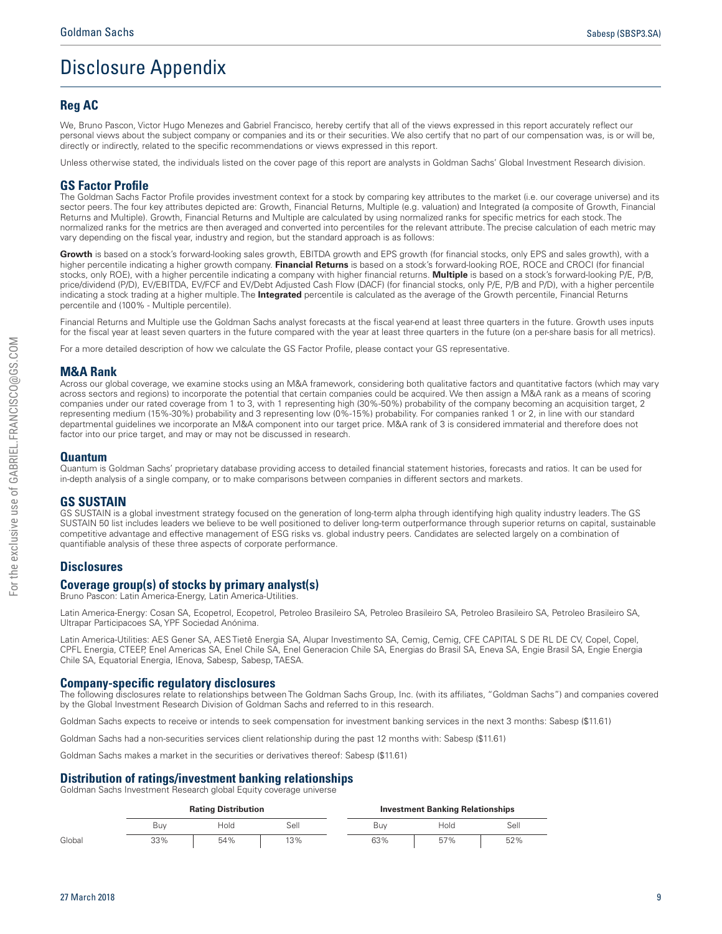# Disclosure Appendix

# **Reg AC**

We, Bruno Pascon, Victor Hugo Menezes and Gabriel Francisco, hereby certify that all of the views expressed in this report accurately reflect our personal views about the subject company or companies and its or their securities. We also certify that no part of our compensation was, is or will be, directly or indirectly, related to the specific recommendations or views expressed in this report.

Unless otherwise stated, the individuals listed on the cover page of this report are analysts in Goldman Sachs' Global Investment Research division.

# **GS Factor Profile**

The Goldman Sachs Factor Profile provides investment context for a stock by comparing key attributes to the market (i.e. our coverage universe) and its sector peers. The four key attributes depicted are: Growth, Financial Returns, Multiple (e.g. valuation) and Integrated (a composite of Growth, Financial Returns and Multiple). Growth, Financial Returns and Multiple are calculated by using normalized ranks for specific metrics for each stock. The normalized ranks for the metrics are then averaged and converted into percentiles for the relevant attribute. The precise calculation of each metric may vary depending on the fiscal year, industry and region, but the standard approach is as follows:

Growth is based on a stock's forward-looking sales growth, EBITDA growth and EPS growth (for financial stocks, only EPS and sales growth), with a higher percentile indicating a higher growth company. **Financial Returns** is based on a stock's forward-looking ROE, ROCE and CROCI (for financial stocks, only ROE), with a higher percentile indicating a company with higher financial returns. **Multiple** is based on a stock's forward-looking P/E, P/B, price/dividend (P/D), EV/EBITDA, EV/FCF and EV/Debt Adjusted Cash Flow (DACF) (for financial stocks, only P/E, P/B and P/D), with a higher percentile indicating a stock trading at a higher multiple. The **Integrated** percentile is calculated as the average of the Growth percentile, Financial Returns percentile and (100% - Multiple percentile).

Financial Returns and Multiple use the Goldman Sachs analyst forecasts at the fiscal year-end at least three quarters in the future. Growth uses inputs for the fiscal year at least seven quarters in the future compared with the year at least three quarters in the future (on a per-share basis for all metrics).

For a more detailed description of how we calculate the GS Factor Profile, please contact your GS representative.

#### **M&A Rank**

Across our global coverage, we examine stocks using an M&A framework, considering both qualitative factors and quantitative factors (which may vary across sectors and regions) to incorporate the potential that certain companies could be acquired. We then assign a M&A rank as a means of scoring companies under our rated coverage from 1 to 3, with 1 representing high (30%-50%) probability of the company becoming an acquisition target, 2 representing medium (15%-30%) probability and 3 representing low (0%-15%) probability. For companies ranked 1 or 2, in line with our standard departmental guidelines we incorporate an M&A component into our target price. M&A rank of 3 is considered immaterial and therefore does not factor into our price target, and may or may not be discussed in research.

### **Quantum**

Quantum is Goldman Sachs' proprietary database providing access to detailed financial statement histories, forecasts and ratios. It can be used for in-depth analysis of a single company, or to make comparisons between companies in different sectors and markets.

# **GS SUSTAIN**

GS SUSTAIN is a global investment strategy focused on the generation of long-term alpha through identifying high quality industry leaders. The GS SUSTAIN 50 list includes leaders we believe to be well positioned to deliver long-term outperformance through superior returns on capital, sustainable competitive advantage and effective management of ESG risks vs. global industry peers. Candidates are selected largely on a combination of quantifiable analysis of these three aspects of corporate performance.

#### **Disclosures**

#### **Coverage group(s) of stocks by primary analyst(s)**

Bruno Pascon: Latin America-Energy, Latin America-Utilities.

Latin America-Energy: Cosan SA, Ecopetrol, Ecopetrol, Petroleo Brasileiro SA, Petroleo Brasileiro SA, Petroleo Brasileiro SA, Petroleo Brasileiro SA, Ultrapar Participacoes SA, YPF Sociedad Anónima.

Latin America-Utilities: AES Gener SA, AES Tietê Energia SA, Alupar Investimento SA, Cemig, Cemig, CFE CAPITAL S DE RL DE CV, Copel, Copel, CPFL Energia, CTEEP, Enel Americas SA, Enel Chile SA, Enel Generacion Chile SA, Energias do Brasil SA, Eneva SA, Engie Brasil SA, Engie Energia Chile SA, Equatorial Energia, IEnova, Sabesp, Sabesp, TAESA.

#### **Company-specific regulatory disclosures**

The following disclosures relate to relationships between The Goldman Sachs Group, Inc. (with its affiliates, "Goldman Sachs") and companies covered by the Global Investment Research Division of Goldman Sachs and referred to in this research.

Goldman Sachs expects to receive or intends to seek compensation for investment banking services in the next 3 months: Sabesp (\$11.61)

Goldman Sachs had a non-securities services client relationship during the past 12 months with: Sabesp (\$11.61)

Goldman Sachs makes a market in the securities or derivatives thereof: Sabesp (\$11.61)

**Distribution of ratings/investment banking relationships**

Goldman Sachs Investment Research global Equity coverage universe

|        | <b>Rating Distribution</b> |      |      |     | <b>Investment Banking Relationships</b> |      |  |
|--------|----------------------------|------|------|-----|-----------------------------------------|------|--|
|        | Buv                        | Hold | Sell | Buv | Hold                                    | Sell |  |
| Global | 33%                        | 54%  | 13%  | 63% | 57%                                     | 52%  |  |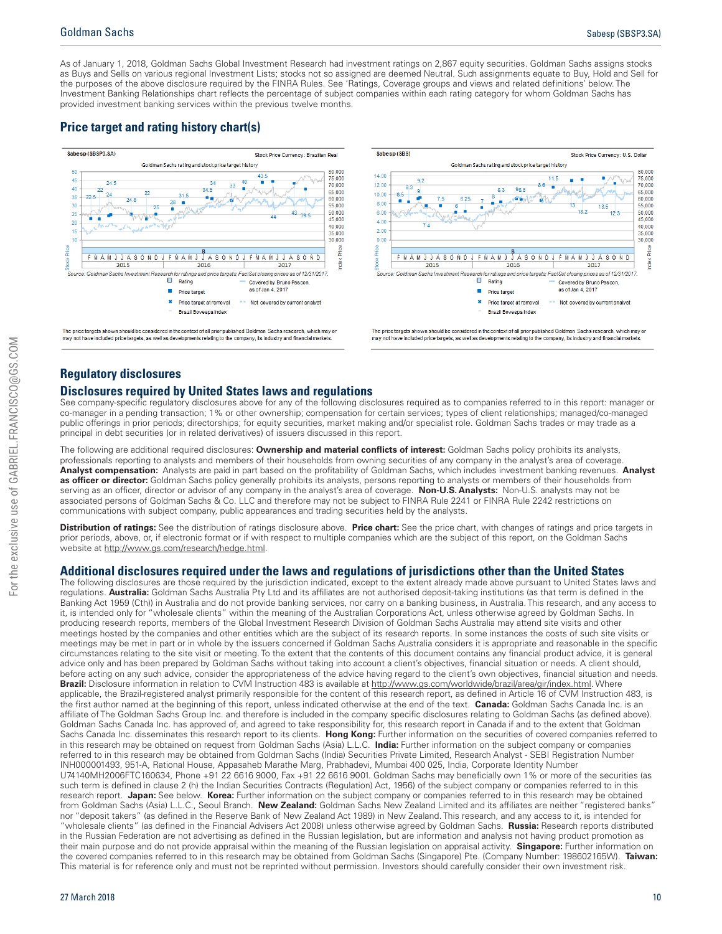As of January 1, 2018, Goldman Sachs Global Investment Research had investment ratings on 2,867 equity securities. Goldman Sachs assigns stocks as Buys and Sells on various regional Investment Lists; stocks not so assigned are deemed Neutral. Such assignments equate to Buy, Hold and Sell for the purposes of the above disclosure required by the FINRA Rules. See 'Ratings, Coverage groups and views and related definitions' below. The Investment Banking Relationships chart reflects the percentage of subject companies within each rating category for whom Goldman Sachs has provided investment banking services within the previous twelve months.

# **Price target and rating history chart(s)**







The price targets shown should be considered in the context of all prior published Goldman Sachs research, which may or may not have included price targets, as well as developments relating to the company, its industry and financial markets.

# **Regulatory disclosures**

### **Disclosures required by United States laws and regulations**

See company-specific regulatory disclosures above for any of the following disclosures required as to companies referred to in this report: manager or co-manager in a pending transaction; 1% or other ownership; compensation for certain services; types of client relationships; managed/co-managed public offerings in prior periods; directorships; for equity securities, market making and/or specialist role. Goldman Sachs trades or may trade as a principal in debt securities (or in related derivatives) of issuers discussed in this report.

The following are additional required disclosures: **Ownership and material conflicts of interest:** Goldman Sachs policy prohibits its analysts, professionals reporting to analysts and members of their households from owning securities of any company in the analyst's area of coverage. **Analyst compensation:** Analysts are paid in part based on the profitability of Goldman Sachs, which includes investment banking revenues. **Analyst as officer or director:** Goldman Sachs policy generally prohibits its analysts, persons reporting to analysts or members of their households from serving as an officer, director or advisor of any company in the analyst's area of coverage. **Non-U.S. Analysts:** Non-U.S. analysts may not be associated persons of Goldman Sachs & Co. LLC and therefore may not be subject to FINRA Rule 2241 or FINRA Rule 2242 restrictions on communications with subject company, public appearances and trading securities held by the analysts.

**Distribution of ratings:** See the distribution of ratings disclosure above. **Price chart:** See the price chart, with changes of ratings and price targets in prior periods, above, or, if electronic format or if with respect to multiple companies which are the subject of this report, on the Goldman Sachs website at [http://www.gs.com/research/hedge.html.](http://www.gs.com/research/hedge.html)

#### **Additional disclosures required under the laws and regulations of jurisdictions other than the United States**

The following disclosures are those required by the jurisdiction indicated, except to the extent already made above pursuant to United States laws and regulations. **Australia:** Goldman Sachs Australia Pty Ltd and its affiliates are not authorised deposit-taking institutions (as that term is defined in the Banking Act 1959 (Cth)) in Australia and do not provide banking services, nor carry on a banking business, in Australia. This research, and any access to it, is intended only for "wholesale clients" within the meaning of the Australian Corporations Act, unless otherwise agreed by Goldman Sachs. In producing research reports, members of the Global Investment Research Division of Goldman Sachs Australia may attend site visits and other meetings hosted by the companies and other entities which are the subject of its research reports. In some instances the costs of such site visits or meetings may be met in part or in whole by the issuers concerned if Goldman Sachs Australia considers it is appropriate and reasonable in the specific circumstances relating to the site visit or meeting. To the extent that the contents of this document contains any financial product advice, it is general advice only and has been prepared by Goldman Sachs without taking into account a client's objectives, financial situation or needs. A client should, before acting on any such advice, consider the appropriateness of the advice having regard to the client's own objectives, financial situation and needs. Brazil: Disclosure information in relation to CVM Instruction 483 is available at [http://www.gs.com/worldwide/brazil/area/gir/index.html.](http://www.gs.com/worldwide/brazil/area/gir/index.html) Where applicable, the Brazil-registered analyst primarily responsible for the content of this research report, as defined in Article 16 of CVM Instruction 483, is the first author named at the beginning of this report, unless indicated otherwise at the end of the text. **Canada:** Goldman Sachs Canada Inc. is an affiliate of The Goldman Sachs Group Inc. and therefore is included in the company specific disclosures relating to Goldman Sachs (as defined above). Goldman Sachs Canada Inc. has approved of, and agreed to take responsibility for, this research report in Canada if and to the extent that Goldman Sachs Canada Inc. disseminates this research report to its clients. **Hong Kong:** Further information on the securities of covered companies referred to in this research may be obtained on request from Goldman Sachs (Asia) L.L.C. **India:** Further information on the subject company or companies referred to in this research may be obtained from Goldman Sachs (India) Securities Private Limited, Research Analyst - SEBI Registration Number INH000001493, 951-A, Rational House, Appasaheb Marathe Marg, Prabhadevi, Mumbai 400 025, India, Corporate Identity Number U74140MH2006FTC160634, Phone +91 22 6616 9000, Fax +91 22 6616 9001. Goldman Sachs may beneficially own 1% or more of the securities (as such term is defined in clause 2 (h) the Indian Securities Contracts (Regulation) Act, 1956) of the subject company or companies referred to in this research report. **Japan:** See below. **Korea:** Further information on the subject company or companies referred to in this research may be obtained from Goldman Sachs (Asia) L.L.C., Seoul Branch. **New Zealand:** Goldman Sachs New Zealand Limited and its affiliates are neither "registered banks" nor "deposit takers" (as defined in the Reserve Bank of New Zealand Act 1989) in New Zealand. This research, and any access to it, is intended for "wholesale clients" (as defined in the Financial Advisers Act 2008) unless otherwise agreed by Goldman Sachs. **Russia:** Research reports distributed in the Russian Federation are not advertising as defined in the Russian legislation, but are information and analysis not having product promotion as their main purpose and do not provide appraisal within the meaning of the Russian legislation on appraisal activity. **Singapore:** Further information on the covered companies referred to in this research may be obtained from Goldman Sachs (Singapore) Pte. (Company Number: 198602165W). **Taiwan:** This material is for reference only and must not be reprinted without permission. Investors should carefully consider their own investment risk.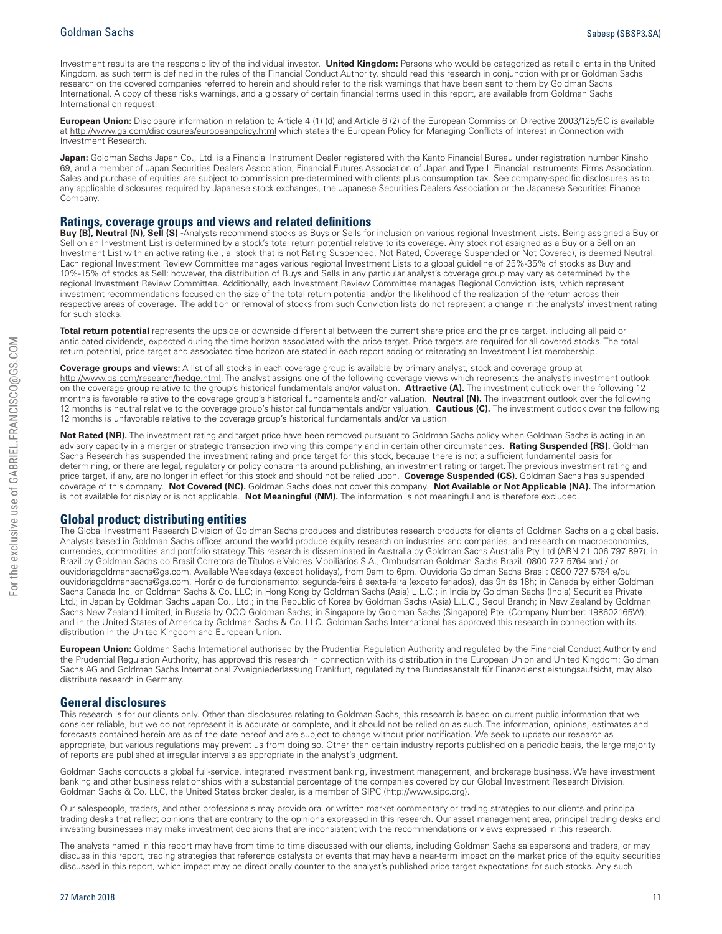Investment results are the responsibility of the individual investor. **United Kingdom:** Persons who would be categorized as retail clients in the United Kingdom, as such term is defined in the rules of the Financial Conduct Authority, should read this research in conjunction with prior Goldman Sachs research on the covered companies referred to herein and should refer to the risk warnings that have been sent to them by Goldman Sachs International. A copy of these risks warnings, and a glossary of certain financial terms used in this report, are available from Goldman Sachs International on request.

**European Union:** Disclosure information in relation to Article 4 (1) (d) and Article 6 (2) of the European Commission Directive 2003/125/EC is available at <http://www.gs.com/disclosures/europeanpolicy.html> which states the European Policy for Managing Conflicts of Interest in Connection with Investment Research.

**Japan:** Goldman Sachs Japan Co., Ltd. is a Financial Instrument Dealer registered with the Kanto Financial Bureau under registration number Kinsho 69, and a member of Japan Securities Dealers Association, Financial Futures Association of Japan and Type II Financial Instruments Firms Association. Sales and purchase of equities are subject to commission pre-determined with clients plus consumption tax. See company-specific disclosures as to any applicable disclosures required by Japanese stock exchanges, the Japanese Securities Dealers Association or the Japanese Securities Finance Company.

#### **Ratings, coverage groups and views and related definitions**

**Buy (B), Neutral (N), Sell (S) -**Analysts recommend stocks as Buys or Sells for inclusion on various regional Investment Lists. Being assigned a Buy or Sell on an Investment List is determined by a stock's total return potential relative to its coverage. Any stock not assigned as a Buy or a Sell on an Investment List with an active rating (i.e., a stock that is not Rating Suspended, Not Rated, Coverage Suspended or Not Covered), is deemed Neutral. Each regional Investment Review Committee manages various regional Investment Lists to a global guideline of 25%-35% of stocks as Buy and 10%-15% of stocks as Sell; however, the distribution of Buys and Sells in any particular analyst's coverage group may vary as determined by the regional Investment Review Committee. Additionally, each Investment Review Committee manages Regional Conviction lists, which represent investment recommendations focused on the size of the total return potential and/or the likelihood of the realization of the return across their respective areas of coverage. The addition or removal of stocks from such Conviction lists do not represent a change in the analysts' investment rating for such stocks.

**Total return potential** represents the upside or downside differential between the current share price and the price target, including all paid or anticipated dividends, expected during the time horizon associated with the price target. Price targets are required for all covered stocks. The total return potential, price target and associated time horizon are stated in each report adding or reiterating an Investment List membership.

**Coverage groups and views:** A list of all stocks in each coverage group is available by primary analyst, stock and coverage group at [http://www.gs.com/research/hedge.html.](http://www.gs.com/research/hedge.html) The analyst assigns one of the following coverage views which represents the analyst's investment outlook on the coverage group relative to the group's historical fundamentals and/or valuation. **Attractive (A).** The investment outlook over the following 12 months is favorable relative to the coverage group's historical fundamentals and/or valuation. **Neutral (N).** The investment outlook over the following 12 months is neutral relative to the coverage group's historical fundamentals and/or valuation. **Cautious (C).** The investment outlook over the following 12 months is unfavorable relative to the coverage group's historical fundamentals and/or valuation.

**Not Rated (NR).** The investment rating and target price have been removed pursuant to Goldman Sachs policy when Goldman Sachs is acting in an advisory capacity in a merger or strategic transaction involving this company and in certain other circumstances. **Rating Suspended (RS).** Goldman Sachs Research has suspended the investment rating and price target for this stock, because there is not a sufficient fundamental basis for determining, or there are legal, regulatory or policy constraints around publishing, an investment rating or target. The previous investment rating and price target, if any, are no longer in effect for this stock and should not be relied upon. **Coverage Suspended (CS).** Goldman Sachs has suspended coverage of this company. **Not Covered (NC).** Goldman Sachs does not cover this company. **Not Available or Not Applicable (NA).** The information is not available for display or is not applicable. **Not Meaningful (NM).** The information is not meaningful and is therefore excluded.

#### **Global product; distributing entities**

The Global Investment Research Division of Goldman Sachs produces and distributes research products for clients of Goldman Sachs on a global basis. Analysts based in Goldman Sachs offices around the world produce equity research on industries and companies, and research on macroeconomics, currencies, commodities and portfolio strategy. This research is disseminated in Australia by Goldman Sachs Australia Pty Ltd (ABN 21 006 797 897); in Brazil by Goldman Sachs do Brasil Corretora de Títulos e Valores Mobiliários S.A.; Ombudsman Goldman Sachs Brazil: 0800 727 5764 and / or ouvidoriagoldmansachs@gs.com. Available Weekdays (except holidays), from 9am to 6pm. Ouvidoria Goldman Sachs Brasil: 0800 727 5764 e/ou ouvidoriagoldmansachs@gs.com. Horário de funcionamento: segunda-feira à sexta-feira (exceto feriados), das 9h às 18h; in Canada by either Goldman Sachs Canada Inc. or Goldman Sachs & Co. LLC; in Hong Kong by Goldman Sachs (Asia) L.L.C.; in India by Goldman Sachs (India) Securities Private Ltd.; in Japan by Goldman Sachs Japan Co., Ltd.; in the Republic of Korea by Goldman Sachs (Asia) L.L.C., Seoul Branch; in New Zealand by Goldman Sachs New Zealand Limited; in Russia by OOO Goldman Sachs; in Singapore by Goldman Sachs (Singapore) Pte. (Company Number: 198602165W); and in the United States of America by Goldman Sachs & Co. LLC. Goldman Sachs International has approved this research in connection with its distribution in the United Kingdom and European Union.

**European Union:** Goldman Sachs International authorised by the Prudential Regulation Authority and regulated by the Financial Conduct Authority and the Prudential Regulation Authority, has approved this research in connection with its distribution in the European Union and United Kingdom; Goldman Sachs AG and Goldman Sachs International Zweigniederlassung Frankfurt, regulated by the Bundesanstalt für Finanzdienstleistungsaufsicht, may also distribute research in Germany.

#### **General disclosures**

This research is for our clients only. Other than disclosures relating to Goldman Sachs, this research is based on current public information that we consider reliable, but we do not represent it is accurate or complete, and it should not be relied on as such. The information, opinions, estimates and forecasts contained herein are as of the date hereof and are subject to change without prior notification. We seek to update our research as appropriate, but various regulations may prevent us from doing so. Other than certain industry reports published on a periodic basis, the large majority of reports are published at irregular intervals as appropriate in the analyst's judgment.

Goldman Sachs conducts a global full-service, integrated investment banking, investment management, and brokerage business. We have investment banking and other business relationships with a substantial percentage of the companies covered by our Global Investment Research Division. Goldman Sachs & Co. LLC, the United States broker dealer, is a member of SIPC [\(http://www.sipc.org\)](http://www.sipc.org).

Our salespeople, traders, and other professionals may provide oral or written market commentary or trading strategies to our clients and principal trading desks that reflect opinions that are contrary to the opinions expressed in this research. Our asset management area, principal trading desks and investing businesses may make investment decisions that are inconsistent with the recommendations or views expressed in this research.

The analysts named in this report may have from time to time discussed with our clients, including Goldman Sachs salespersons and traders, or may discuss in this report, trading strategies that reference catalysts or events that may have a near-term impact on the market price of the equity securities discussed in this report, which impact may be directionally counter to the analyst's published price target expectations for such stocks. Any such